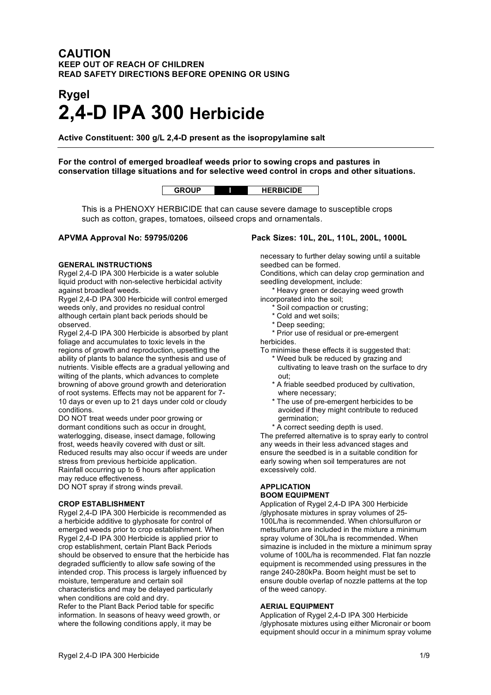# **CAUTION KEEP OUT OF REACH OF CHILDREN READ SAFETY DIRECTIONS BEFORE OPENING OR USING**

# **Rygel 2,4-D IPA 300 Herbicide**

**Active Constituent: 300 g/L 2,4-D present as the isopropylamine salt**

**For the control of emerged broadleaf weeds prior to sowing crops and pastures in conservation tillage situations and for selective weed control in crops and other situations.**

|  | ₹BICIDE |
|--|---------|
|--|---------|

This is a PHENOXY HERBICIDE that can cause severe damage to susceptible crops such as cotton, grapes, tomatoes, oilseed crops and ornamentals.

#### **GENERAL INSTRUCTIONS**

Rygel 2,4-D IPA 300 Herbicide is a water soluble liquid product with non-selective herbicidal activity against broadleaf weeds.

Rygel 2,4-D IPA 300 Herbicide will control emerged weeds only, and provides no residual control although certain plant back periods should be observed.

Rygel 2,4-D IPA 300 Herbicide is absorbed by plant foliage and accumulates to toxic levels in the regions of growth and reproduction, upsetting the ability of plants to balance the synthesis and use of nutrients. Visible effects are a gradual yellowing and wilting of the plants, which advances to complete browning of above ground growth and deterioration of root systems. Effects may not be apparent for 7- 10 days or even up to 21 days under cold or cloudy conditions.

DO NOT treat weeds under poor growing or dormant conditions such as occur in drought, waterlogging, disease, insect damage, following frost, weeds heavily covered with dust or silt. Reduced results may also occur if weeds are under stress from previous herbicide application. Rainfall occurring up to 6 hours after application may reduce effectiveness.

DO NOT spray if strong winds prevail.

#### **CROP ESTABLISHMENT**

Rygel 2,4-D IPA 300 Herbicide is recommended as a herbicide additive to glyphosate for control of emerged weeds prior to crop establishment. When Rygel 2,4-D IPA 300 Herbicide is applied prior to crop establishment, certain Plant Back Periods should be observed to ensure that the herbicide has degraded sufficiently to allow safe sowing of the intended crop. This process is largely influenced by moisture, temperature and certain soil characteristics and may be delayed particularly when conditions are cold and dry. Refer to the Plant Back Period table for specific information. In seasons of heavy weed growth, or where the following conditions apply, it may be

# **APVMA Approval No: 59795/0206 Pack Sizes: 10L, 20L, 110L, 200L, 1000L**

necessary to further delay sowing until a suitable seedbed can be formed.

Conditions, which can delay crop germination and seedling development, include:

\* Heavy green or decaying weed growth

incorporated into the soil;

- \* Soil compaction or crusting;
- \* Cold and wet soils;
- \* Deep seeding;

\* Prior use of residual or pre-emergent herbicides.

To minimise these effects it is suggested that:

- \* Weed bulk be reduced by grazing and cultivating to leave trash on the surface to dry out;
- \* A friable seedbed produced by cultivation, where necessary;
- \* The use of pre-emergent herbicides to be avoided if they might contribute to reduced germination;
- \* A correct seeding depth is used.

The preferred alternative is to spray early to control any weeds in their less advanced stages and ensure the seedbed is in a suitable condition for early sowing when soil temperatures are not excessively cold.

# **APPLICATION BOOM EQUIPMENT**

Application of Rygel 2,4-D IPA 300 Herbicide /glyphosate mixtures in spray volumes of 25- 100L/ha is recommended. When chlorsulfuron or metsulfuron are included in the mixture a minimum spray volume of 30L/ha is recommended. When simazine is included in the mixture a minimum spray volume of 100L/ha is recommended. Flat fan nozzle equipment is recommended using pressures in the range 240-280kPa. Boom height must be set to ensure double overlap of nozzle patterns at the top of the weed canopy.

### **AERIAL EQUIPMENT**

Application of Rygel 2,4-D IPA 300 Herbicide /glyphosate mixtures using either Micronair or boom equipment should occur in a minimum spray volume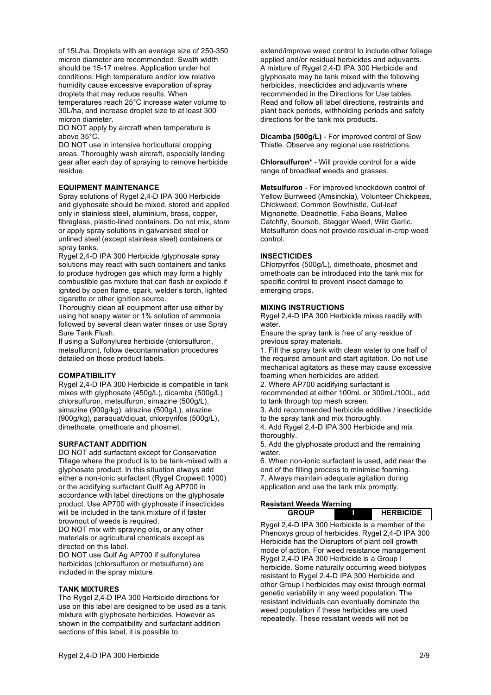of 15L/ha. Droplets with an average size of 250-350 micron diameter are recommended. Swath width should be 15-17 metres. Application under hot conditions: High temperature and/or low relative humidity cause excessive evaporation of spray droplets that may reduce results. When temperatures reach 25°C increase water volume to 30L/ha, and increase droplet size to at least 300 micron diameter.

DO NOT apply by aircraft when temperature is above 35°C.

DO NOT use in intensive horticultural cropping areas. Thoroughly wash aircraft, especially landing gear after each day of spraying to remove herbicide residue.

#### **EQUIPMENT MAINTENANCE**

Spray solutions of Rygel 2,4-D IPA 300 Herbicide and glyphosate should be mixed, stored and applied only in stainless steel, aluminium, brass, copper, fibreglass, plastic-lined containers. Do not mix, store or apply spray solutions in galvanised steel or unlined steel (except stainless steel) containers or spray tanks.

Rygel 2,4-D IPA 300 Herbicide /glyphosate spray solutions may react with such containers and tanks to produce hydrogen gas which may form a highly combustible gas mixture that can flash or explode if ignited by open flame, spark, welder's torch, lighted cigarette or other ignition source.

Thoroughly clean all equipment after use either by using hot soapy water or 1% solution of ammonia followed by several clean water rinses or use Spray Sure Tank Flush.

If using a Sulfonylurea herbicide (chlorsulfuron, metsulfuron), follow decontamination procedures detailed on those product labels.

#### **COMPATIBILITY**

Rygel 2,4-D IPA 300 Herbicide is compatible in tank mixes with glyphosate (450g/L), dicamba (500g/L) chlorsulfuron, metsulfuron, simazine (500g/L), simazine (900g/kg), atrazine (500g/L), atrazine (900g/kg), paraquat/diquat, chlorpyrifos (500g/L), dimethoate, omethoate and phosmet.

#### **SURFACTANT ADDITION**

DO NOT add surfactant except for Conservation Tillage where the product is to be tank-mixed with a glyphosate product. In this situation always add either a non-ionic surfactant (Rygel Cropwett 1000) or the acidifying surfactant Gullf Ag AP700 in accordance with label directions on the glyphosate product. Use AP700 with glyphosate if insecticides will be included in the tank mixture of if faster brownout of weeds is required.

DO NOT mix with spraying oils, or any other materials or agricultural chemicals except as directed on this label.

DO NOT use Gulf Ag AP700 if sulfonylurea herbicides (chlorsulfuron or metsulfuron) are included in the spray mixture.

#### **TANK MIXTURES**

The Rygel 2,4-D IPA 300 Herbicide directions for use on this label are designed to be used as a tank mixture with glyphosate herbicides. However as shown in the compatibility and surfactant addition sections of this label, it is possible to

extend/improve weed control to include other foliage applied and/or residual herbicides and adjuvants. A mixture of Rygel 2,4-D IPA 300 Herbicide and glyphosate may be tank mixed with the following herbicides, insecticides and adjuvants where recommended in the Directions for Use tables. Read and follow all label directions, restraints and plant back periods, withholding periods and safety directions for the tank mix products.

**Dicamba (500g/L)** - For improved control of Sow Thistle. Observe any regional use restrictions.

**Chlorsulfuron\*** - Will provide control for a wide range of broadleaf weeds and grasses.

**Metsulfuron** - For improved knockdown control of Yellow Burrweed (Amsinckia), Volunteer Chickpeas, Chickweed, Common Sowthistle, Cut-leaf Mignonette, Deadnettle, Faba Beans, Mallee Catchfly, Soursob, Stagger Weed, Wild Garlic. Metsulfuron does not provide residual in-crop weed control.

#### **INSECTICIDES**

Chlorpyrifos (500g/L), dimethoate, phosmet and omethoate can be introduced into the tank mix for specific control to prevent insect damage to emerging crops.

#### **MIXING INSTRUCTIONS**

Rygel 2,4-D IPA 300 Herbicide mixes readily with water.

Ensure the spray tank is free of any residue of previous spray materials.

1. Fill the spray tank with clean water to one half of the required amount and start agitation. Do not use mechanical agitators as these may cause excessive foaming when herbicides are added.

2. Where AP700 acidifying surfactant is

recommended at either 100mL or 300mL/100L, add to tank through top mesh screen.

3. Add recommended herbicide additive / insecticide

to the spray tank and mix thoroughly.

4. Add Rygel 2,4-D IPA 300 Herbicide and mix thoroughly.

5. Add the glyphosate product and the remaining water.

6. When non-ionic surfactant is used, add near the end of the filling process to minimise foaming. 7. Always maintain adequate agitation during application and use the tank mix promptly.

# **Resistant Weeds Warning**

**GROUP I HERBICIDE**

Rygel 2,4-D IPA 300 Herbicide is a member of the Phenoxys group of herbicides. Rygel 2,4-D IPA 300 Herbicide has the Disruptors of plant cell growth mode of action. For weed resistance management Rygel 2,4-D IPA 300 Herbicide is a Group I herbicide. Some naturally occurring weed biotypes resistant to Rygel 2,4-D IPA 300 Herbicide and other Group I herbicides may exist through normal genetic variability in any weed population. The resistant individuals can eventually dominate the weed population if these herbicides are used repeatedly. These resistant weeds will not be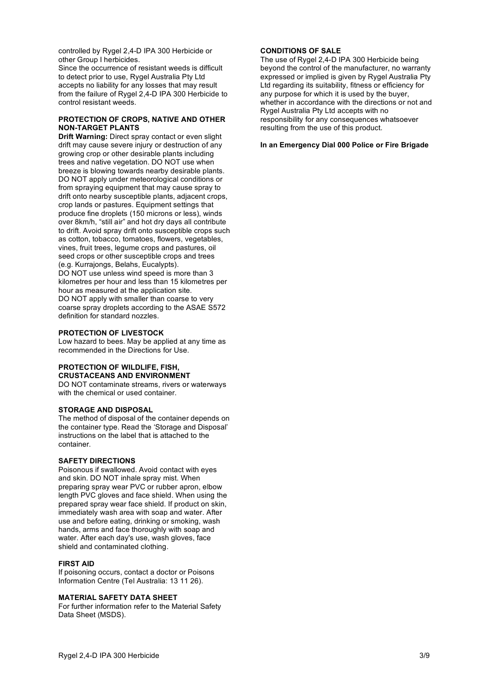controlled by Rygel 2,4-D IPA 300 Herbicide or other Group I herbicides.

Since the occurrence of resistant weeds is difficult to detect prior to use, Rygel Australia Pty Ltd accepts no liability for any losses that may result from the failure of Rygel 2,4-D IPA 300 Herbicide to control resistant weeds.

#### **PROTECTION OF CROPS, NATIVE AND OTHER NON-TARGET PLANTS**

**Drift Warning:** Direct spray contact or even slight drift may cause severe injury or destruction of any growing crop or other desirable plants including trees and native vegetation. DO NOT use when breeze is blowing towards nearby desirable plants. DO NOT apply under meteorological conditions or from spraying equipment that may cause spray to drift onto nearby susceptible plants, adjacent crops, crop lands or pastures. Equipment settings that produce fine droplets (150 microns or less), winds over 8km/h, "still air" and hot dry days all contribute to drift. Avoid spray drift onto susceptible crops such as cotton, tobacco, tomatoes, flowers, vegetables, vines, fruit trees, legume crops and pastures, oil seed crops or other susceptible crops and trees (e.g. Kurrajongs, Belahs, Eucalypts). DO NOT use unless wind speed is more than 3 kilometres per hour and less than 15 kilometres per hour as measured at the application site. DO NOT apply with smaller than coarse to very coarse spray droplets according to the ASAE S572 definition for standard nozzles.

#### **PROTECTION OF LIVESTOCK**

Low hazard to bees. May be applied at any time as recommended in the Directions for Use.

#### **PROTECTION OF WILDLIFE, FISH, CRUSTACEANS AND ENVIRONMENT**

DO NOT contaminate streams, rivers or waterways with the chemical or used container.

#### **STORAGE AND DISPOSAL**

The method of disposal of the container depends on the container type. Read the 'Storage and Disposal' instructions on the label that is attached to the container.

#### **SAFETY DIRECTIONS**

Poisonous if swallowed. Avoid contact with eyes and skin. DO NOT inhale spray mist. When preparing spray wear PVC or rubber apron, elbow length PVC gloves and face shield. When using the prepared spray wear face shield. If product on skin, immediately wash area with soap and water. After use and before eating, drinking or smoking, wash hands, arms and face thoroughly with soap and water. After each day's use, wash gloves, face shield and contaminated clothing.

#### **FIRST AID**

If poisoning occurs, contact a doctor or Poisons Information Centre (Tel Australia: 13 11 26).

#### **MATERIAL SAFETY DATA SHEET**

For further information refer to the Material Safety Data Sheet (MSDS).

#### **CONDITIONS OF SALE**

The use of Rygel 2,4-D IPA 300 Herbicide being beyond the control of the manufacturer, no warranty expressed or implied is given by Rygel Australia Pty Ltd regarding its suitability, fitness or efficiency for any purpose for which it is used by the buyer, whether in accordance with the directions or not and Rygel Australia Pty Ltd accepts with no responsibility for any consequences whatsoever resulting from the use of this product.

#### **In an Emergency Dial 000 Police or Fire Brigade**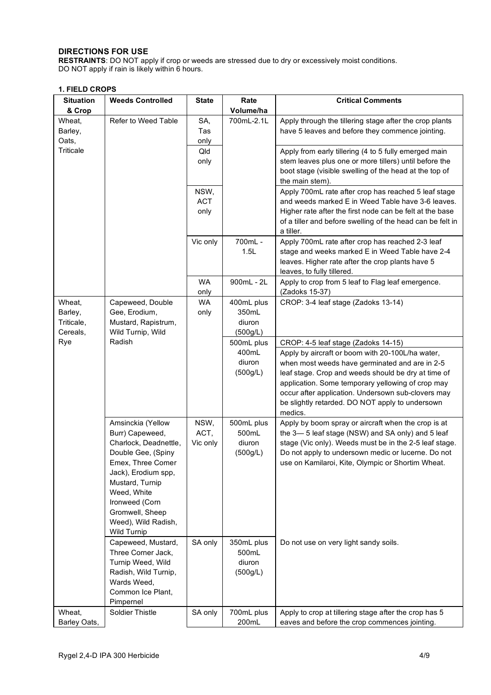# **DIRECTIONS FOR USE**

**RESTRAINTS**: DO NOT apply if crop or weeds are stressed due to dry or excessively moist conditions. DO NOT apply if rain is likely within 6 hours.

# **1. FIELD CROPS**

| <b>Situation</b> | <b>Weeds Controlled</b>        | <b>State</b>                    | Rate                    | <b>Critical Comments</b>                                                                              |  |  |  |
|------------------|--------------------------------|---------------------------------|-------------------------|-------------------------------------------------------------------------------------------------------|--|--|--|
| & Crop<br>Wheat, | Refer to Weed Table            | SA,                             | Volume/ha<br>700mL-2.1L | Apply through the tillering stage after the crop plants                                               |  |  |  |
| Barley,          |                                | Tas                             |                         | have 5 leaves and before they commence jointing.                                                      |  |  |  |
| Oats,            |                                | only                            |                         |                                                                                                       |  |  |  |
| Triticale        |                                | Qld                             |                         | Apply from early tillering (4 to 5 fully emerged main                                                 |  |  |  |
|                  |                                | only                            |                         | stem leaves plus one or more tillers) until before the                                                |  |  |  |
|                  |                                |                                 |                         | boot stage (visible swelling of the head at the top of                                                |  |  |  |
|                  |                                |                                 |                         | the main stem).                                                                                       |  |  |  |
|                  |                                | NSW,                            |                         | Apply 700mL rate after crop has reached 5 leaf stage                                                  |  |  |  |
|                  |                                | <b>ACT</b>                      |                         | and weeds marked E in Weed Table have 3-6 leaves.                                                     |  |  |  |
|                  |                                | only                            |                         | Higher rate after the first node can be felt at the base                                              |  |  |  |
|                  |                                |                                 |                         | of a tiller and before swelling of the head can be felt in<br>a tiller.                               |  |  |  |
|                  |                                | Vic only                        | 700mL -                 | Apply 700mL rate after crop has reached 2-3 leaf                                                      |  |  |  |
|                  |                                |                                 | 1.5L                    | stage and weeks marked E in Weed Table have 2-4                                                       |  |  |  |
|                  |                                |                                 |                         | leaves. Higher rate after the crop plants have 5                                                      |  |  |  |
|                  |                                |                                 |                         | leaves, to fully tillered.                                                                            |  |  |  |
|                  |                                | <b>WA</b><br>900mL - 2L<br>only |                         | Apply to crop from 5 leaf to Flag leaf emergence.<br>(Zadoks 15-37)                                   |  |  |  |
| Wheat,           | Capeweed, Double               | WA                              | 400mL plus              | CROP: 3-4 leaf stage (Zadoks 13-14)                                                                   |  |  |  |
| Barley,          | Gee, Erodium,                  | only                            | 350mL                   |                                                                                                       |  |  |  |
| Triticale,       | Mustard, Rapistrum,            |                                 | diuron                  |                                                                                                       |  |  |  |
| Cereals,         | Wild Turnip, Wild              |                                 | (500g/L)                |                                                                                                       |  |  |  |
| Rye              | Radish                         |                                 | 500mL plus              | CROP: 4-5 leaf stage (Zadoks 14-15)                                                                   |  |  |  |
|                  |                                |                                 | 400mL                   | Apply by aircraft or boom with 20-100L/ha water,                                                      |  |  |  |
|                  |                                |                                 | diuron                  | when most weeds have germinated and are in 2-5                                                        |  |  |  |
|                  |                                |                                 | (500g/L)                | leaf stage. Crop and weeds should be dry at time of                                                   |  |  |  |
|                  |                                |                                 |                         | application. Some temporary yellowing of crop may                                                     |  |  |  |
|                  |                                |                                 |                         | occur after application. Undersown sub-clovers may<br>be slightly retarded. DO NOT apply to undersown |  |  |  |
|                  |                                |                                 |                         | medics.                                                                                               |  |  |  |
|                  | Amsinckia (Yellow              | NSW,                            | 500mL plus              | Apply by boom spray or aircraft when the crop is at                                                   |  |  |  |
|                  | Burr) Capeweed,                | ACT,                            | 500mL                   | the 3-5 leaf stage (NSW) and SA only) and 5 leaf                                                      |  |  |  |
|                  | Charlock, Deadnettle,          | Vic only                        | diuron<br>(500g/L)      | stage (Vic only). Weeds must be in the 2-5 leaf stage.                                                |  |  |  |
|                  | Double Gee, (Spiny             |                                 |                         | Do not apply to undersown medic or lucerne. Do not                                                    |  |  |  |
|                  | Emex, Three Comer              |                                 |                         | use on Kamilaroi, Kite, Olympic or Shortim Wheat.                                                     |  |  |  |
|                  | Jack), Erodium spp,            |                                 |                         |                                                                                                       |  |  |  |
|                  | Mustard, Turnip<br>Weed, White |                                 |                         |                                                                                                       |  |  |  |
|                  | Ironweed (Corn                 |                                 |                         |                                                                                                       |  |  |  |
|                  | Gromwell, Sheep                |                                 |                         |                                                                                                       |  |  |  |
|                  | Weed), Wild Radish,            |                                 |                         |                                                                                                       |  |  |  |
|                  | <b>Wild Turnip</b>             |                                 |                         |                                                                                                       |  |  |  |
|                  | Capeweed, Mustard,             | SA only                         | 350mL plus              | Do not use on very light sandy soils.                                                                 |  |  |  |
|                  | Three Corner Jack,             |                                 | 500mL                   |                                                                                                       |  |  |  |
|                  | Turnip Weed, Wild              |                                 | diuron                  |                                                                                                       |  |  |  |
|                  | Radish, Wild Turnip,           |                                 | (500g/L)                |                                                                                                       |  |  |  |
|                  | Wards Weed,                    |                                 |                         |                                                                                                       |  |  |  |
|                  | Common Ice Plant,<br>Pimpernel |                                 |                         |                                                                                                       |  |  |  |
| Wheat,           | <b>Soldier Thistle</b>         | SA only                         | 700mL plus              | Apply to crop at tillering stage after the crop has 5                                                 |  |  |  |
| Barley Oats,     |                                |                                 | 200mL                   | eaves and before the crop commences jointing.                                                         |  |  |  |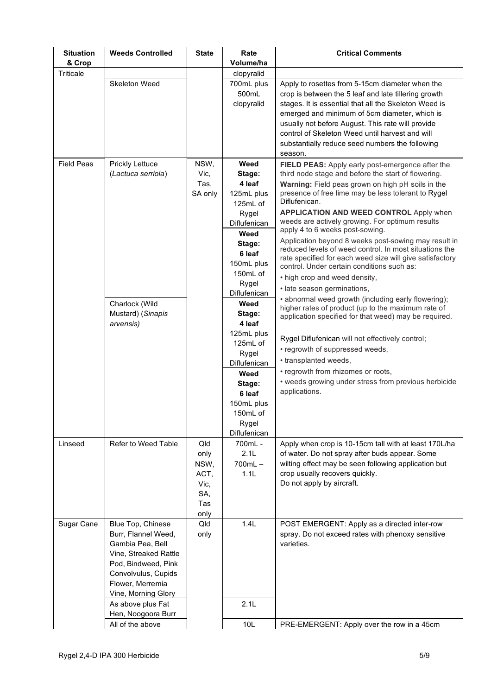| <b>Situation</b>  | <b>Weeds Controlled</b> | <b>State</b> | Rate             | <b>Critical Comments</b>                                                                                       |
|-------------------|-------------------------|--------------|------------------|----------------------------------------------------------------------------------------------------------------|
| & Crop            |                         |              | Volume/ha        |                                                                                                                |
| Triticale         |                         |              | clopyralid       |                                                                                                                |
|                   | Skeleton Weed           |              | 700mL plus       | Apply to rosettes from 5-15cm diameter when the                                                                |
|                   |                         |              | 500mL            | crop is between the 5 leaf and late tillering growth                                                           |
|                   |                         |              | clopyralid       | stages. It is essential that all the Skeleton Weed is                                                          |
|                   |                         |              |                  | emerged and minimum of 5cm diameter, which is<br>usually not before August. This rate will provide             |
|                   |                         |              |                  | control of Skeleton Weed until harvest and will                                                                |
|                   |                         |              |                  | substantially reduce seed numbers the following                                                                |
|                   |                         |              |                  | season.                                                                                                        |
| <b>Field Peas</b> | <b>Prickly Lettuce</b>  | NSW,         | Weed             | FIELD PEAS: Apply early post-emergence after the                                                               |
|                   | (Lactuca serriola)      | Vic,         | Stage:           | third node stage and before the start of flowering.                                                            |
|                   |                         | Tas,         | 4 leaf           | Warning: Field peas grown on high pH soils in the                                                              |
|                   |                         | SA only      | 125mL plus       | presence of free lime may be less tolerant to Rygel                                                            |
|                   |                         |              | 125mL of         | Diflufenican.                                                                                                  |
|                   |                         |              | Rygel            | <b>APPLICATION AND WEED CONTROL Apply when</b>                                                                 |
|                   |                         |              | Diflufenican     | weeds are actively growing. For optimum results                                                                |
|                   |                         |              | Weed             | apply 4 to 6 weeks post-sowing.                                                                                |
|                   |                         |              | Stage:           | Application beyond 8 weeks post-sowing may result in<br>reduced levels of weed control. In most situations the |
|                   |                         |              | 6 leaf           | rate specified for each weed size will give satisfactory                                                       |
|                   |                         |              | 150mL plus       | control. Under certain conditions such as:                                                                     |
|                   |                         |              | 150mL of         | • high crop and weed density,                                                                                  |
|                   |                         |              | Rygel            | · late season germinations,                                                                                    |
|                   |                         |              | Diflufenican     | • abnormal weed growth (including early flowering);                                                            |
|                   | Charlock (Wild          |              | Weed             | higher rates of product (up to the maximum rate of                                                             |
|                   | Mustard) (Sinapis       |              | Stage:<br>4 leaf | application specified for that weed) may be required.                                                          |
|                   | arvensis)               |              | 125mL plus       |                                                                                                                |
|                   |                         |              | 125mL of         | Rygel Diflufenican will not effectively control;                                                               |
|                   |                         |              | Rygel            | • regrowth of suppressed weeds,                                                                                |
|                   |                         |              | Diflufenican     | • transplanted weeds,                                                                                          |
|                   |                         |              | Weed             | • regrowth from rhizomes or roots,                                                                             |
|                   |                         |              | Stage:           | • weeds growing under stress from previous herbicide                                                           |
|                   |                         |              | 6 leaf           | applications.                                                                                                  |
|                   |                         |              | 150mL plus       |                                                                                                                |
|                   |                         |              | 150mL of         |                                                                                                                |
|                   |                         |              | Rygel            |                                                                                                                |
|                   |                         |              | Diflufenican     |                                                                                                                |
| Linseed           | Refer to Weed Table     | Qld          | 700mL -<br>2.1L  | Apply when crop is 10-15cm tall with at least 170L/ha                                                          |
|                   |                         | only         | $700mL -$        | of water. Do not spray after buds appear. Some<br>wilting effect may be seen following application but         |
|                   |                         | NSW,<br>ACT, | 1.1L             | crop usually recovers quickly.                                                                                 |
|                   |                         | Vic,         |                  | Do not apply by aircraft.                                                                                      |
|                   |                         | SA,          |                  |                                                                                                                |
|                   |                         | Tas          |                  |                                                                                                                |
|                   |                         | only         |                  |                                                                                                                |
| Sugar Cane        | Blue Top, Chinese       | Qld          | 1.4L             | POST EMERGENT: Apply as a directed inter-row                                                                   |
|                   | Burr, Flannel Weed,     | only         |                  | spray. Do not exceed rates with phenoxy sensitive                                                              |
|                   | Gambia Pea, Bell        |              |                  | varieties.                                                                                                     |
|                   | Vine, Streaked Rattle   |              |                  |                                                                                                                |
|                   | Pod, Bindweed, Pink     |              |                  |                                                                                                                |
|                   | Convolvulus, Cupids     |              |                  |                                                                                                                |
|                   | Flower, Merremia        |              |                  |                                                                                                                |
|                   | Vine, Morning Glory     |              |                  |                                                                                                                |
|                   | As above plus Fat       |              | 2.1L             |                                                                                                                |
|                   | Hen, Noogoora Burr      |              |                  |                                                                                                                |
|                   | All of the above        |              | 10L              | PRE-EMERGENT: Apply over the row in a 45cm                                                                     |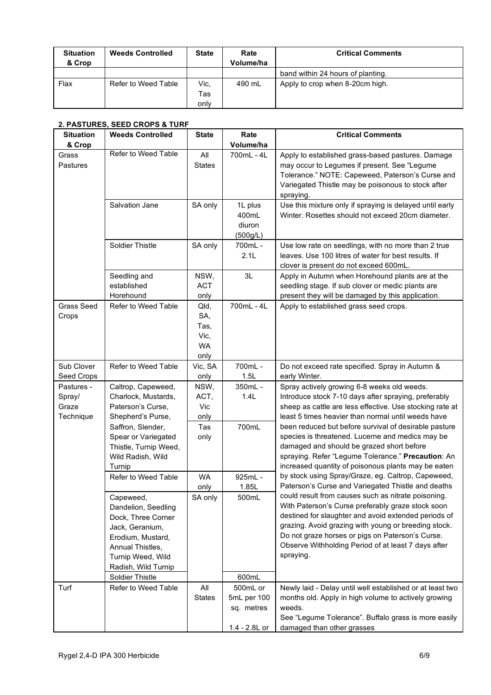| <b>Situation</b><br>& Crop | <b>Weeds Controlled</b> | <b>State</b> | Rate<br>Volume/ha | <b>Critical Comments</b>          |
|----------------------------|-------------------------|--------------|-------------------|-----------------------------------|
|                            |                         |              |                   | band within 24 hours of planting. |
| Flax                       | Refer to Weed Table     | Vic.         | 490 mL            | Apply to crop when 8-20cm high.   |
|                            |                         | Tas          |                   |                                   |
|                            |                         | onlv         |                   |                                   |

# **2. PASTURES, SEED CROPS & TURF**

| <b>Situation</b><br>& Crop                 | <b>Weeds Controlled</b>                                                                                                                                                                                  | <b>State</b>                                     | Rate<br>Volume/ha                                      | <b>Critical Comments</b>                                                                                                                                                                                                                                                                                                                                                                                                                                                                     |
|--------------------------------------------|----------------------------------------------------------------------------------------------------------------------------------------------------------------------------------------------------------|--------------------------------------------------|--------------------------------------------------------|----------------------------------------------------------------------------------------------------------------------------------------------------------------------------------------------------------------------------------------------------------------------------------------------------------------------------------------------------------------------------------------------------------------------------------------------------------------------------------------------|
| Grass<br>Pastures                          | Refer to Weed Table                                                                                                                                                                                      | All<br><b>States</b>                             | 700mL - 4L                                             | Apply to established grass-based pastures. Damage<br>may occur to Legumes if present. See "Legume<br>Tolerance." NOTE: Capeweed, Paterson's Curse and<br>Variegated Thistle may be poisonous to stock after<br>spraying.                                                                                                                                                                                                                                                                     |
|                                            | Salvation Jane                                                                                                                                                                                           | SA only                                          | 1L plus<br>400mL<br>diuron<br>(500g/L)                 | Use this mixture only if spraying is delayed until early<br>Winter. Rosettes should not exceed 20cm diameter.                                                                                                                                                                                                                                                                                                                                                                                |
|                                            | Soldier Thistle                                                                                                                                                                                          | SA only                                          | 700mL -<br>2.1L                                        | Use low rate on seedlings, with no more than 2 true<br>leaves. Use 100 litres of water for best results. If<br>clover is present do not exceed 600mL.                                                                                                                                                                                                                                                                                                                                        |
|                                            | Seedling and<br>established<br>Horehound                                                                                                                                                                 | NSW,<br><b>ACT</b><br>only                       | 3L                                                     | Apply in Autumn when Horehound plants are at the<br>seedling stage. If sub clover or medic plants are<br>present they will be damaged by this application.                                                                                                                                                                                                                                                                                                                                   |
| Grass Seed<br>Crops                        | Refer to Weed Table                                                                                                                                                                                      | Qld,<br>SA,<br>Tas,<br>Vic,<br><b>WA</b><br>only | 700mL - 4L                                             | Apply to established grass seed crops.                                                                                                                                                                                                                                                                                                                                                                                                                                                       |
| Sub Clover<br>Seed Crops                   | Refer to Weed Table                                                                                                                                                                                      | Vic, SA<br>only                                  | 700mL -<br>1.5L                                        | Do not exceed rate specified. Spray in Autumn &<br>early Winter.                                                                                                                                                                                                                                                                                                                                                                                                                             |
| Pastures -<br>Spray/<br>Graze<br>Technique | Caltrop, Capeweed,<br>Charlock, Mustards,<br>Paterson's Curse,<br>Shepherd's Purse,<br>Saffron, Slender,<br>Spear or Variegated<br>Thistle, Turnip Weed,<br>Wild Radish, Wild<br>Turnip                  | NSW,<br>ACT,<br>Vic<br>only<br>Tas<br>only       | 350mL -<br>1.4L<br>700mL                               | Spray actively growing 6-8 weeks old weeds.<br>Introduce stock 7-10 days after spraying, preferably<br>sheep as cattle are less effective. Use stocking rate at<br>least 5 times heavier than normal until weeds have<br>been reduced but before survival of desirable pasture<br>species is threatened. Lucerne and medics may be<br>damaged and should be grazed short before<br>spraying. Refer "Legume Tolerance." Precaution: An<br>increased quantity of poisonous plants may be eaten |
|                                            | Refer to Weed Table<br>Capeweed,<br>Dandelion, Seedling<br>Dock, Three Corner<br>Jack, Geranium,<br>Erodium, Mustard,<br>Annual Thistles,<br>Turnip Weed, Wild<br>Radish, Wild Turnip<br>Soldier Thistle | <b>WA</b><br>only<br>SA only                     | 925mL -<br>1.85L<br>500mL<br>600mL                     | by stock using Spray/Graze, eg. Caltrop, Capeweed,<br>Paterson's Curse and Variegated Thistle and deaths<br>could result from causes such as nitrate poisoning.<br>With Paterson's Curse preferably graze stock soon<br>destined for slaughter and avoid extended periods of<br>grazing. Avoid grazing with young or breeding stock.<br>Do not graze horses or pigs on Paterson's Curse.<br>Observe Withholding Period of at least 7 days after<br>spraying.                                 |
| Turf                                       | Refer to Weed Table                                                                                                                                                                                      | All<br><b>States</b>                             | 500mL or<br>5mL per 100<br>sq. metres<br>1.4 - 2.8L or | Newly laid - Delay until well established or at least two<br>months old. Apply in high volume to actively growing<br>weeds.<br>See "Legume Tolerance". Buffalo grass is more easily<br>damaged than other grasses                                                                                                                                                                                                                                                                            |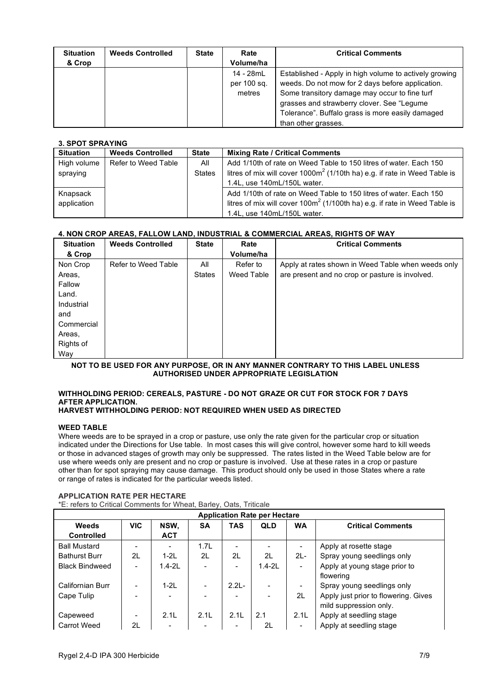| <b>Situation</b><br>& Crop | <b>Weeds Controlled</b> | <b>State</b> | Rate<br>Volume/ha | <b>Critical Comments</b>                               |
|----------------------------|-------------------------|--------------|-------------------|--------------------------------------------------------|
|                            |                         |              | 14 - 28mL         | Established - Apply in high volume to actively growing |
|                            |                         |              |                   |                                                        |
|                            |                         |              | per 100 sq.       | weeds. Do not mow for 2 days before application.       |
|                            |                         |              | metres            | Some transitory damage may occur to fine turf          |
|                            |                         |              |                   | grasses and strawberry clover. See "Legume"            |
|                            |                         |              |                   | Tolerance". Buffalo grass is more easily damaged       |
|                            |                         |              |                   | than other grasses.                                    |

#### **3. SPOT SPRAYING**

| <b>Situation</b> | <b>Weeds Controlled</b> | <b>State</b>  | <b>Mixing Rate / Critical Comments</b>                                       |
|------------------|-------------------------|---------------|------------------------------------------------------------------------------|
| High volume      | Refer to Weed Table     | All           | Add 1/10th of rate on Weed Table to 150 litres of water. Each 150            |
| spraying         |                         | <b>States</b> | litres of mix will cover $1000m^2$ (1/10th ha) e.g. if rate in Weed Table is |
|                  |                         |               | 1.4L, use 140mL/150L water.                                                  |
| Knapsack         |                         |               | Add 1/10th of rate on Weed Table to 150 litres of water. Each 150            |
| application      |                         |               | litres of mix will cover $100m^2$ (1/100th ha) e.g. if rate in Weed Table is |
|                  |                         |               | 1.4L, use 140mL/150L water.                                                  |

# **4. NON CROP AREAS, FALLOW LAND, INDUSTRIAL & COMMERCIAL AREAS, RIGHTS OF WAY**

| <b>Situation</b> | <b>Weeds Controlled</b> | <b>State</b>  | Rate       | <b>Critical Comments</b>                           |
|------------------|-------------------------|---------------|------------|----------------------------------------------------|
| & Crop           |                         |               | Volume/ha  |                                                    |
| Non Crop         | Refer to Weed Table     | All           | Refer to   | Apply at rates shown in Weed Table when weeds only |
| Areas,           |                         | <b>States</b> | Weed Table | are present and no crop or pasture is involved.    |
| Fallow           |                         |               |            |                                                    |
| Land.            |                         |               |            |                                                    |
| Industrial       |                         |               |            |                                                    |
| and              |                         |               |            |                                                    |
| Commercial       |                         |               |            |                                                    |
| Areas,           |                         |               |            |                                                    |
| Rights of        |                         |               |            |                                                    |
| Way              |                         |               |            |                                                    |

**NOT TO BE USED FOR ANY PURPOSE, OR IN ANY MANNER CONTRARY TO THIS LABEL UNLESS AUTHORISED UNDER APPROPRIATE LEGISLATION**

# **WITHHOLDING PERIOD: CEREALS, PASTURE - DO NOT GRAZE OR CUT FOR STOCK FOR 7 DAYS AFTER APPLICATION.**

# **HARVEST WITHHOLDING PERIOD: NOT REQUIRED WHEN USED AS DIRECTED**

#### **WEED TABLE**

Where weeds are to be sprayed in a crop or pasture, use only the rate given for the particular crop or situation indicated under the Directions for Use table. In most cases this will give control, however some hard to kill weeds or those in advanced stages of growth may only be suppressed. The rates listed in the Weed Table below are for use where weeds only are present and no crop or pasture is involved. Use at these rates in a crop or pasture other than for spot spraying may cause damage. This product should only be used in those States where a rate or range of rates is indicated for the particular weeds listed.

| <b>Application Rate per Hectare</b> |            |                          |           |                          |            |                              |                                      |  |
|-------------------------------------|------------|--------------------------|-----------|--------------------------|------------|------------------------------|--------------------------------------|--|
| <b>Weeds</b>                        | <b>VIC</b> | NSW,                     | <b>SA</b> | <b>TAS</b>               | <b>QLD</b> | <b>WA</b>                    | <b>Critical Comments</b>             |  |
| <b>Controlled</b>                   |            | <b>ACT</b>               |           |                          |            |                              |                                      |  |
| <b>Ball Mustard</b>                 |            |                          | 1.7L      |                          |            | $\qquad \qquad \blacksquare$ | Apply at rosette stage               |  |
| <b>Bathurst Burr</b>                | 2L         | $1-2L$                   | 2L        | 2L                       | 2L         | $2L -$                       | Spray young seedlings only           |  |
| <b>Black Bindweed</b>               |            | $1.4 - 2L$               |           | $\overline{\phantom{0}}$ | $1.4 - 2L$ | $\overline{\phantom{a}}$     | Apply at young stage prior to        |  |
|                                     |            |                          |           |                          |            |                              | flowering                            |  |
| Californian Burr                    |            | $1-2L$                   |           | $2.21 -$                 |            | $\overline{\phantom{a}}$     | Spray young seedlings only           |  |
| Cape Tulip                          |            |                          |           |                          |            | 2L                           | Apply just prior to flowering. Gives |  |
|                                     |            |                          |           |                          |            |                              | mild suppression only.               |  |
| Capeweed                            |            | 2.1L                     | 2.1L      | 2.1L                     | 2.1        | 2.1L                         | Apply at seedling stage              |  |
| Carrot Weed                         | 2L         | $\overline{\phantom{0}}$ |           |                          | 2L         | $\qquad \qquad \blacksquare$ | Apply at seedling stage              |  |

#### **APPLICATION RATE PER HECTARE**

\*E: refers to Critical Comments for Wheat, Barley, Oats, Triticale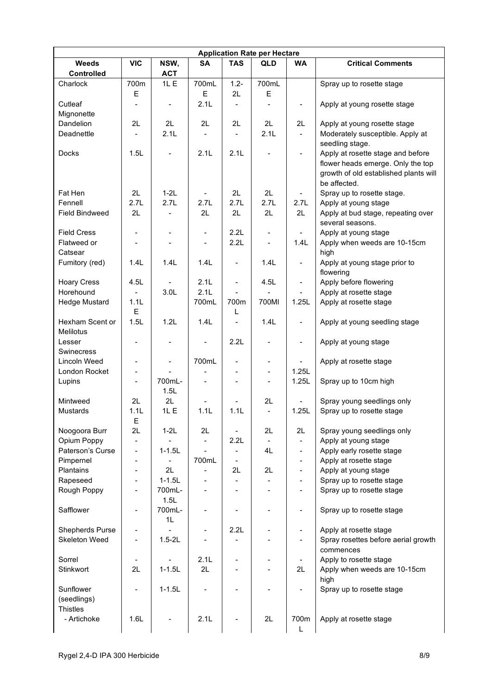| <b>Application Rate per Hectare</b> |                          |                          |                          |                              |                          |                          |                                                                                                                                 |  |  |
|-------------------------------------|--------------------------|--------------------------|--------------------------|------------------------------|--------------------------|--------------------------|---------------------------------------------------------------------------------------------------------------------------------|--|--|
| <b>Weeds</b><br>Controlled          | <b>VIC</b>               | NSW,<br><b>ACT</b>       | <b>SA</b>                | <b>TAS</b>                   | QLD                      | <b>WA</b>                | <b>Critical Comments</b>                                                                                                        |  |  |
| Charlock                            | 700m                     | 1L E                     | 700mL                    | $1.2 -$                      | 700mL                    |                          | Spray up to rosette stage                                                                                                       |  |  |
|                                     | E                        |                          | E                        | 2L                           | E                        |                          |                                                                                                                                 |  |  |
| Cutleaf<br>Mignonette               | $\overline{a}$           | $\overline{\phantom{a}}$ | 2.1L                     | $\blacksquare$               | $\overline{\phantom{a}}$ | $\blacksquare$           | Apply at young rosette stage                                                                                                    |  |  |
| Dandelion                           | 2L                       | 2L                       | 2L                       | 2L                           | 2L                       | 2L                       | Apply at young rosette stage                                                                                                    |  |  |
| Deadnettle                          |                          | 2.1L                     | $\blacksquare$           | $\overline{\phantom{0}}$     | 2.1L                     | $\blacksquare$           | Moderately susceptible. Apply at<br>seedling stage.                                                                             |  |  |
| Docks                               | 1.5L                     | $\overline{\phantom{0}}$ | 2.1L                     | 2.1L                         | -                        | $\blacksquare$           | Apply at rosette stage and before<br>flower heads emerge. Only the top<br>growth of old established plants will<br>be affected. |  |  |
| Fat Hen                             | 2L                       | $1-2L$                   | $\blacksquare$           | 2L                           | 2L                       | $\blacksquare$           | Spray up to rosette stage.                                                                                                      |  |  |
| Fennell                             | 2.7L                     | 2.7L                     | 2.7L                     | 2.7L                         | 2.7L                     | 2.7L                     | Apply at young stage                                                                                                            |  |  |
| <b>Field Bindweed</b>               | 2L                       |                          | 2L                       | 2L                           | 2L                       | 2L                       | Apply at bud stage, repeating over                                                                                              |  |  |
|                                     |                          |                          |                          |                              |                          |                          | several seasons.                                                                                                                |  |  |
| <b>Field Cress</b>                  | $\overline{\phantom{m}}$ | $\overline{\phantom{a}}$ | $\overline{\phantom{m}}$ | 2.2L                         | $\frac{1}{2}$            | $\blacksquare$           | Apply at young stage                                                                                                            |  |  |
| Flatweed or<br>Catsear              | $\overline{\phantom{a}}$ | $\overline{\phantom{a}}$ | $\blacksquare$           | 2.2L                         | $\blacksquare$           | 1.4L                     | Apply when weeds are 10-15cm<br>high                                                                                            |  |  |
| Fumitory (red)                      | 1.4L                     | 1.4L                     | 1.4L                     | $\blacksquare$               | 1.4L                     | $\blacksquare$           | Apply at young stage prior to<br>flowering                                                                                      |  |  |
| <b>Hoary Cress</b>                  | 4.5L                     | $\blacksquare$           | 2.1L                     | $\frac{1}{2}$                | 4.5L                     | $\blacksquare$           | Apply before flowering                                                                                                          |  |  |
| Horehound                           |                          | 3.0L                     | 2.1L                     | $\overline{a}$               |                          | $\blacksquare$           | Apply at rosette stage                                                                                                          |  |  |
| <b>Hedge Mustard</b>                | 1.1L<br>E                |                          | 700mL                    | 700m<br>L                    | 700MI                    | 1.25L                    | Apply at rosette stage                                                                                                          |  |  |
| Hexham Scent or<br>Melilotus        | 1.5L                     | 1.2L                     | 1.4L                     | $\overline{a}$               | 1.4L                     | $\blacksquare$           | Apply at young seedling stage                                                                                                   |  |  |
| Lesser<br>Swinecress                |                          |                          | $\overline{a}$           | 2.2L                         | $\overline{\phantom{a}}$ | $\overline{\phantom{a}}$ | Apply at young stage                                                                                                            |  |  |
| Lincoln Weed                        | $\overline{\phantom{m}}$ | $\overline{\phantom{0}}$ | 700mL                    | $\overline{\phantom{0}}$     | $\overline{\phantom{a}}$ | $\blacksquare$           | Apply at rosette stage                                                                                                          |  |  |
| London Rocket                       | $\overline{\phantom{0}}$ |                          |                          | $\qquad \qquad \blacksquare$ | $\frac{1}{2}$            | 1.25L                    |                                                                                                                                 |  |  |
| Lupins                              | $\overline{\phantom{a}}$ | 700mL-<br>1.5L           | $\blacksquare$           | $\overline{\phantom{0}}$     | $\blacksquare$           | 1.25L                    | Spray up to 10cm high                                                                                                           |  |  |
| Mintweed                            | 2L                       | 2L                       |                          |                              | 2L                       | $\overline{\phantom{a}}$ | Spray young seedlings only                                                                                                      |  |  |
| <b>Mustards</b>                     | 1.1L<br>Е                | 1L E                     | 1.1L                     | 1.1L                         | $\blacksquare$           | 1.25L                    | Spray up to rosette stage                                                                                                       |  |  |
| Noogoora Burr                       | 2L                       | $1-2L$                   | 2L                       | $\qquad \qquad \blacksquare$ | 2L                       | 2L                       | Spray young seedlings only                                                                                                      |  |  |
| Opium Poppy                         | $\overline{\phantom{m}}$ |                          | $\blacksquare$           | 2.2L                         | $\blacksquare$           | $\blacksquare$           | Apply at young stage                                                                                                            |  |  |
| Paterson's Curse                    | $\blacksquare$           | $1 - 1.5L$               | $\overline{\phantom{0}}$ | $\overline{\phantom{0}}$     | 4L                       | $\overline{\phantom{a}}$ | Apply early rosette stage                                                                                                       |  |  |
| Pimpernel                           |                          | $\overline{\phantom{a}}$ | 700mL                    | $\qquad \qquad \blacksquare$ |                          | $\blacksquare$           | Apply at rosette stage                                                                                                          |  |  |
| Plantains                           |                          | 2L                       | ÷                        | 2L                           | 2L                       | $\blacksquare$           | Apply at young stage                                                                                                            |  |  |
| Rapeseed                            |                          | $1 - 1.5L$               | $\overline{\phantom{m}}$ | $\overline{\phantom{0}}$     | $\overline{\phantom{a}}$ | $\blacksquare$           | Spray up to rosette stage                                                                                                       |  |  |
| Rough Poppy                         |                          | 700mL-<br>1.5L           | $\overline{\phantom{m}}$ | $\qquad \qquad \blacksquare$ | $\overline{\phantom{0}}$ | $\blacksquare$           | Spray up to rosette stage                                                                                                       |  |  |
| Safflower                           | $\blacksquare$           | 700mL-<br>1L             | ÷                        |                              | -                        | $\overline{\phantom{a}}$ | Spray up to rosette stage                                                                                                       |  |  |
| Shepherds Purse                     |                          |                          |                          | 2.2L                         |                          | $\blacksquare$           | Apply at rosette stage                                                                                                          |  |  |
| Skeleton Weed                       | $\blacksquare$           | $1.5 - 2L$               |                          |                              |                          | $\blacksquare$           | Spray rosettes before aerial growth<br>commences                                                                                |  |  |
| Sorrel                              | $\overline{\phantom{a}}$ |                          | 2.1L                     |                              |                          | $\blacksquare$           | Apply to rosette stage                                                                                                          |  |  |
| Stinkwort                           | 2L                       | $1 - 1.5L$               | 2L                       | $\blacksquare$               | $\blacksquare$           | 2L                       | Apply when weeds are 10-15cm                                                                                                    |  |  |
| Sunflower                           |                          | $1 - 1.5L$               |                          |                              |                          | $\overline{\phantom{a}}$ | high<br>Spray up to rosette stage                                                                                               |  |  |
| (seedlings)<br><b>Thistles</b>      |                          |                          |                          |                              |                          |                          |                                                                                                                                 |  |  |
| - Artichoke                         | 1.6L                     |                          | 2.1L                     |                              | 2L                       | 700m<br>L                | Apply at rosette stage                                                                                                          |  |  |